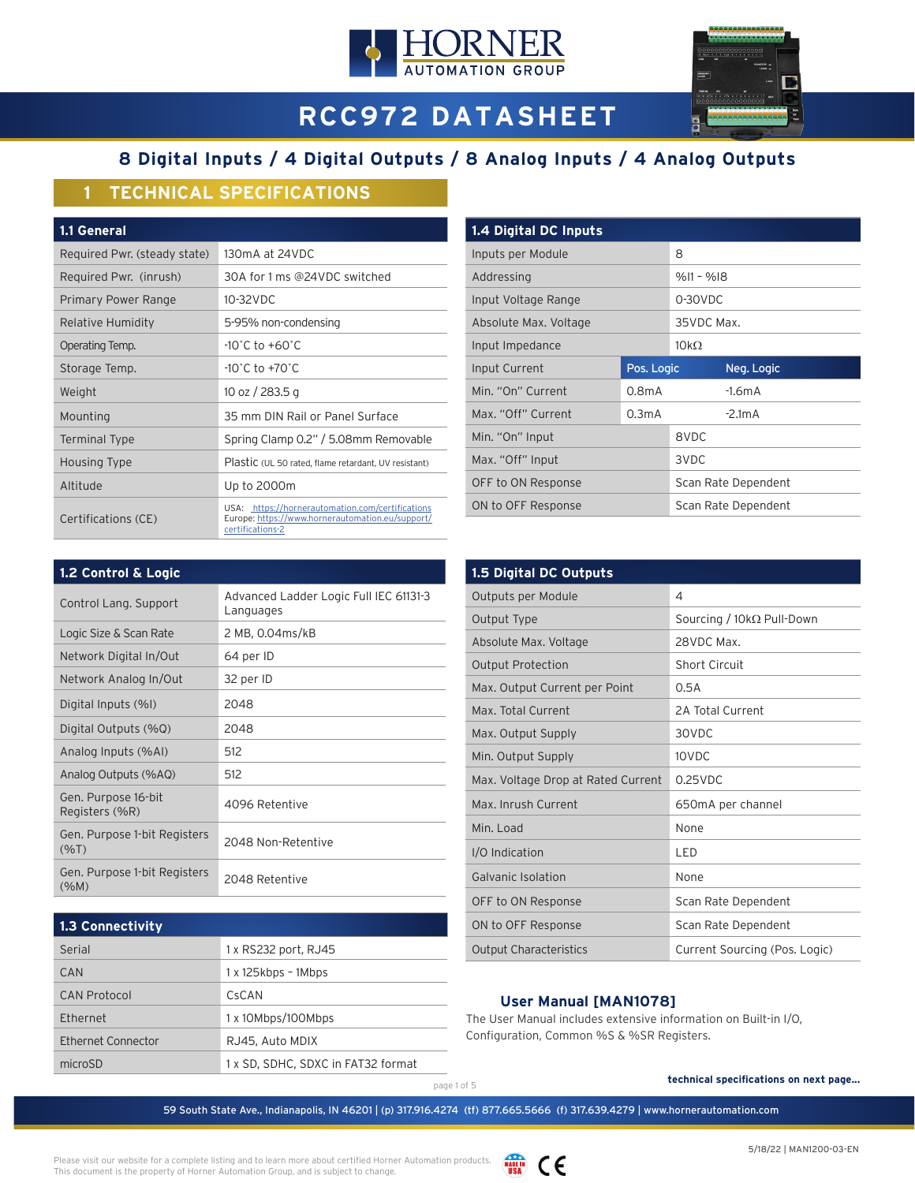



# **RCC972 DATASHEET**

# **8 Digital Inputs / 4 Digital Outputs / 8 Analog Inputs / 4 Analog Outputs**

# **1 TECHNICAL SPECIFICATIONS**

| <b>1.1 General</b>           |                                                                                                                          |
|------------------------------|--------------------------------------------------------------------------------------------------------------------------|
| Required Pwr. (steady state) | 130mA at 24VDC                                                                                                           |
| Required Pwr. (inrush)       | 30A for 1 ms @24VDC switched                                                                                             |
| Primary Power Range          | 10-32VDC                                                                                                                 |
| Relative Humidity            | 5-95% non-condensing                                                                                                     |
| Operating Temp.              | $-10^{\circ}$ C to $+60^{\circ}$ C                                                                                       |
| Storage Temp.                | $-10^{\circ}$ C to $+70^{\circ}$ C                                                                                       |
| Weight                       | 10 oz / 283.5 g                                                                                                          |
| Mounting                     | 35 mm DIN Rail or Panel Surface                                                                                          |
| Terminal Type                | Spring Clamp 0.2" / 5.08mm Removable                                                                                     |
| Housing Type                 | Plastic (UL 50 rated, flame retardant, UV resistant)                                                                     |
| Altitude                     | Up to 2000m                                                                                                              |
| Certifications (CE)          | USA: https://hornerautomation.com/certifications<br>Europe: https://www.hornerautomation.eu/support/<br>certifications-2 |

| 1.4 Digital DC Inputs |                    |             |                     |  |
|-----------------------|--------------------|-------------|---------------------|--|
| Inputs per Module     |                    | 8           |                     |  |
| Addressing            |                    |             | $%11 - %18$         |  |
| Input Voltage Range   |                    |             | 0-30VDC             |  |
| Absolute Max. Voltage |                    | 35VDC Max.  |                     |  |
| Input Impedance       |                    | $10k\Omega$ |                     |  |
| Input Current         | Pos. Logic         |             | Neg. Logic          |  |
| Min. "On" Current     | 0.8 <sub>m</sub> A |             | $-1.6mA$            |  |
| Max. "Off" Current    | 0.3 <sub>m</sub> A |             | $-2.1mA$            |  |
| Min. "On" Input       |                    | 8VDC        |                     |  |
| Max. "Off" Input      |                    | 3VDC        |                     |  |
| OFF to ON Response    |                    |             | Scan Rate Dependent |  |
| ON to OFF Response    |                    |             | Scan Rate Dependent |  |

| 1.2 Control & Logic                     |                                                     |
|-----------------------------------------|-----------------------------------------------------|
| Control Lang. Support                   | Advanced Ladder Logic Full IEC 61131-3<br>Languages |
| Logic Size & Scan Rate                  | 2 MB, 0.04ms/kB                                     |
| Network Digital In/Out                  | 64 per ID                                           |
| Network Analog In/Out                   | 32 per ID                                           |
| Digital Inputs (%I)                     | 2048                                                |
| Digital Outputs (%Q)                    | 2048                                                |
| Analog Inputs (%AI)                     | 512                                                 |
| Analog Outputs (%AQ)                    | 512                                                 |
| Gen. Purpose 16-bit<br>Registers (%R)   | 4096 Retentive                                      |
| Gen. Purpose 1-bit Registers<br>(%T)    | 2048 Non-Retentive                                  |
| Gen. Purpose 1-bit Registers<br>$(\%M)$ | 2048 Retentive                                      |

| 1.3 Connectivity    |                                    |  |
|---------------------|------------------------------------|--|
| Serial              | 1 x RS232 port, RJ45               |  |
| CAN                 | $1x$ 125kbps - 1Mbps               |  |
| <b>CAN Protocol</b> | CsCAN                              |  |
| Ethernet            | 1 x 10Mbps/100Mbps                 |  |
| Ethernet Connector  | RJ45, Auto MDIX                    |  |
| microSD             | 1 x SD, SDHC, SDXC in FAT32 format |  |

| 1.5 Digital DC Outputs             |                                  |
|------------------------------------|----------------------------------|
| Outputs per Module                 | 4                                |
| Output Type                        | Sourcing / $10k\Omega$ Pull-Down |
| Absolute Max. Voltage              | 28VDC Max.                       |
| <b>Output Protection</b>           | <b>Short Circuit</b>             |
| Max. Output Current per Point      | 0.5A                             |
| Max. Total Current                 | 2A Total Current                 |
| Max. Output Supply                 | 30VDC                            |
| Min. Output Supply                 | 10VDC                            |
| Max. Voltage Drop at Rated Current | $0.25$ VDC                       |
| Max. Inrush Current                | 650mA per channel                |
| Min. Load                          | None                             |
| I/O Indication                     | LED                              |
| <b>Galvanic Isolation</b>          | None                             |
| OFF to ON Response                 | Scan Rate Dependent              |
| ON to OFF Response                 | Scan Rate Dependent              |
| <b>Output Characteristics</b>      | Current Sourcing (Pos. Logic)    |

### **User Manual [MAN1078]**

The User Manual includes extensive information on Built-in I/O, Configuration, Common %S & %SR Registers.

## page 1 of 5 **technical specifications on next page...**

59 South State Ave., Indianapolis, IN 46201 | (p) 317.916.4274 (tf) 877.665.5666 (f) 317.639.4279 | www.hornerautomation.com

Please visit our website for a complete listing and to learn more about certified Horner Automation products. This document is the property of Horner Automation Group, and is subject to change.

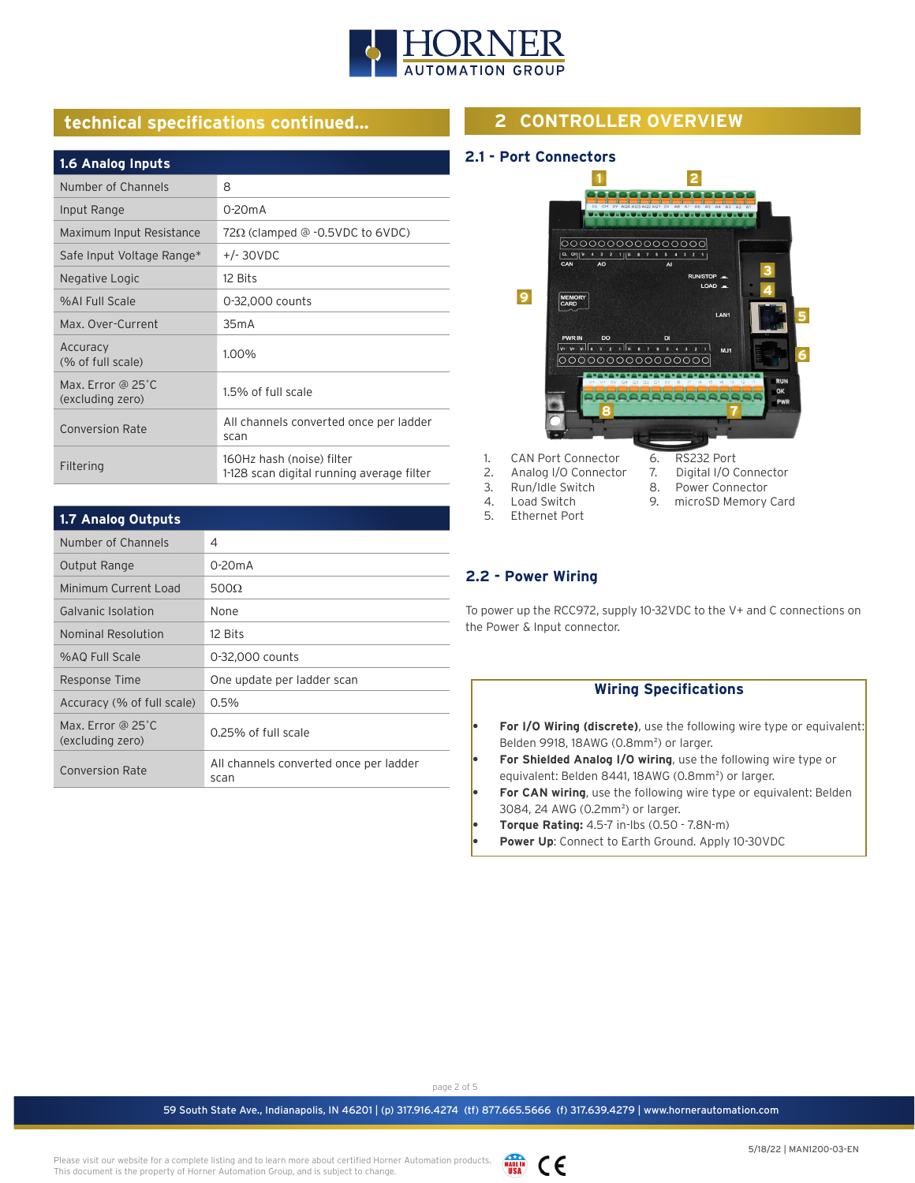

# **technical specifications continued...**

| 1.6 Analog Inputs                     |                                                                        |
|---------------------------------------|------------------------------------------------------------------------|
| Number of Channels                    | 8                                                                      |
| Input Range                           | $0-20mA$                                                               |
| Maximum Input Resistance              | $72\Omega$ (clamped @ -0.5VDC to 6VDC)                                 |
| Safe Input Voltage Range*             | $+/- 30VDC$                                                            |
| Negative Logic                        | 12 Bits                                                                |
| %AL Full Scale                        | 0-32,000 counts                                                        |
| Max. Over-Current                     | 35mA                                                                   |
| Accuracy<br>(% of full scale)         | 1.00%                                                                  |
| Max. Error @ 25°C<br>(excluding zero) | 1.5% of full scale                                                     |
| <b>Conversion Rate</b>                | All channels converted once per ladder<br>scan                         |
| Filtering                             | 160Hz hash (noise) filter<br>1-128 scan digital running average filter |

| <b>1.7 Analog Outputs</b>             |                                                |
|---------------------------------------|------------------------------------------------|
| Number of Channels                    | 4                                              |
| Output Range                          | $0-20mA$                                       |
| Minimum Current Load                  | 500 $\Omega$                                   |
| Galvanic Isolation                    | None                                           |
| Nominal Resolution                    | 12 Bits                                        |
| %AQ Full Scale                        | 0-32,000 counts                                |
| Response Time                         | One update per ladder scan                     |
| Accuracy (% of full scale)            | $0.5\%$                                        |
| Max. Error @ 25°C<br>(excluding zero) | 0.25% of full scale                            |
| <b>Conversion Rate</b>                | All channels converted once per ladder<br>scan |

# **2 CONTROLLER OVERVIEW**

#### **2.1 - Port Connectors**



- 2. Analog I/O Connector
- 7. Digital I/O Connector<br>8. Power Connector
- Power Connector 9. microSD Memory Card
- 3. Run/Idle Switch<br>4. Load Switch 4. Load Switch<br>5. Ethernet Por 5. Ethernet Port
- 
- 

## **2.2 - Power Wiring**

To power up the RCC972, supply 10-32VDC to the V+ and C connections on the Power & Input connector.

|           | <b>Wiring Specifications</b>                                                  |
|-----------|-------------------------------------------------------------------------------|
|           |                                                                               |
| ٠         | <b>For I/O Wiring (discrete)</b> , use the following wire type or equivalent: |
|           | Belden 9918, 18AWG (0.8mm <sup>2</sup> ) or larger.                           |
| ٠         | For Shielded Analog I/O wiring, use the following wire type or                |
|           | equivalent: Belden 8441, 18AWG (0.8mm <sup>2</sup> ) or larger.               |
| ٠         | <b>For CAN wiring,</b> use the following wire type or equivalent: Belden      |
|           | 3084, 24 AWG (0.2mm <sup>2</sup> ) or larger.                                 |
| ٠         | Torque Rating: 4.5-7 in-lbs (0.50 - 7.8N-m)                                   |
| $\bullet$ | <b>Power Up:</b> Connect to Earth Ground. Apply 10-30VDC                      |
|           |                                                                               |

page 2 of 5

59 South State Ave., Indianapolis, IN 46201 | (p) 317.916.4274 (tf) 877.665.5666 (f) 317.639.4279 | www.hornerautomation.com

Please visit our website for a complete listing and to learn more about certified Horner Automation products. This document is the property of Horner Automation Group, and is subject to change.

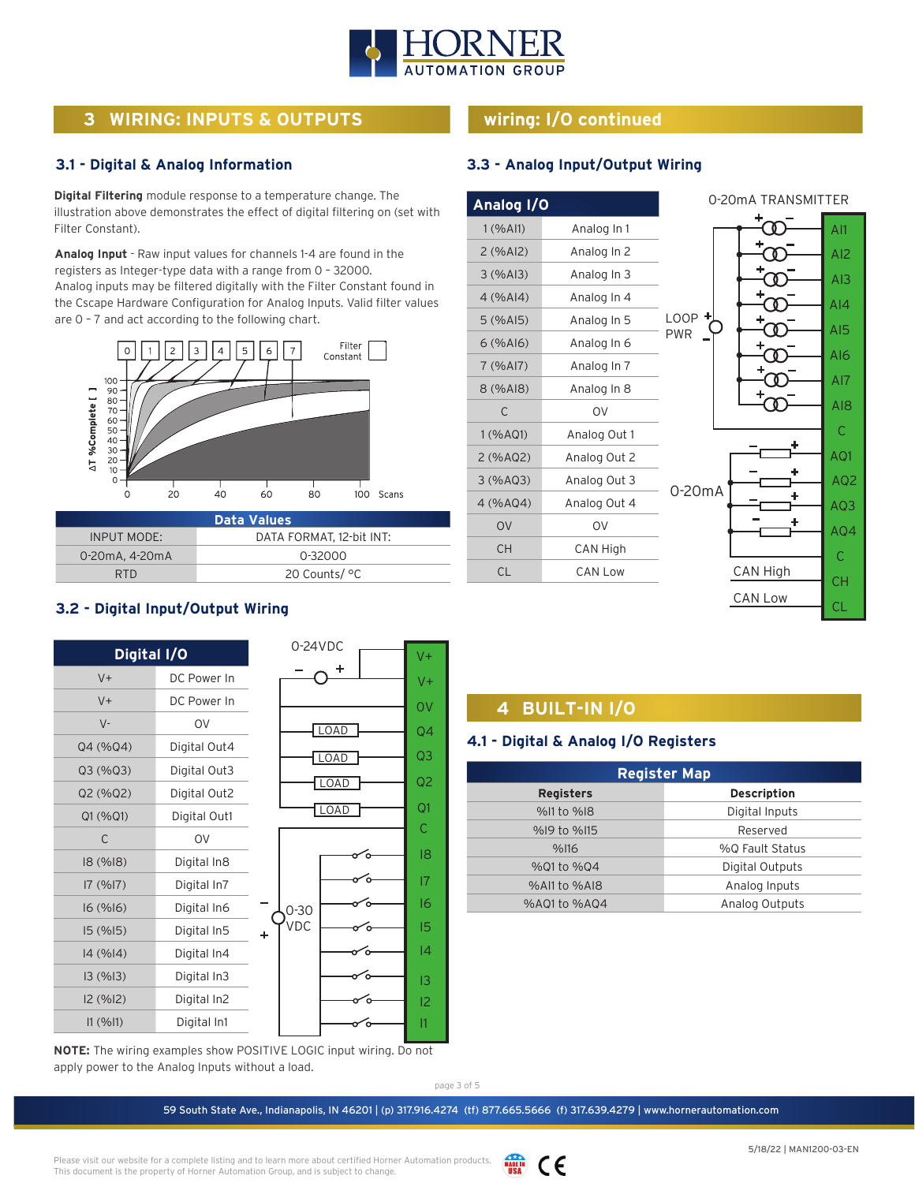

# **3 WIRING: INPUTS & OUTPUTS**

#### **3.1 - Digital & Analog Information**

**Digital Filtering** module response to a temperature change. The illustration above demonstrates the effect of digital filtering on (set with Filter Constant).

**Analog Input** - Raw input values for channels 1-4 are found in the registers as Integer-type data with a range from 0 – 32000. Analog inputs may be filtered digitally with the Filter Constant found in the Cscape Hardware Configuration for Analog Inputs. Valid filter values are 0 – 7 and act according to the following chart.



| <b>Data Values</b> |                          |  |
|--------------------|--------------------------|--|
| <b>INPUT MODE:</b> | DATA FORMAT. 12-bit INT: |  |
| 0-20mA, 4-20mA     | 0-32000                  |  |
| RTD.               | 20 Counts/ °C            |  |

# **wiring: I/O continued**

### **3.3 - Analog Input/Output Wiring**

|              | Analog I/O |
|--------------|------------|
| Analog In 1  | 1 (% All)  |
| Analog In 2  | 2(%Al2)    |
| Analog In 3  | 3(%A13)    |
| Analog In 4  | 4(%A 4)    |
| Analog In 5  | $5$ (%AI5) |
| Analog In 6  | 6(%A16)    |
| Analog In 7  | 7 (%AI7)   |
| Analog In 8  | 8 (%AI8)   |
| OV           | C          |
| Analog Out 1 | 1 (% AQ1)  |
| Analog Out 2 | 2 (%AQ2)   |
| Analog Out 3 | 3(%AO3)    |
| Analog Out 4 | 4 (%AQ4)   |
| OV           | <b>OV</b>  |
| CAN High     | СH         |
| CAN Low      | CL         |



# **3.2 - Digital Input/Output Wiring**

| Digital I/O |              | $0-24VDC$   | $V +$           |
|-------------|--------------|-------------|-----------------|
| $V +$       | DC Power In  |             | $V +$           |
| $V +$       | DC Power In  |             | 0V              |
| $V -$       | OV           | <b>LOAD</b> | $\overline{Q4}$ |
| Q4 (%Q4)    | Digital Out4 |             | Q3              |
| Q3 (%Q3)    | Digital Out3 | <b>LOAD</b> |                 |
| Q2 (%Q2)    | Digital Out2 | <b>LOAD</b> | Q <sub>2</sub>  |
| Q1 (%Q1)    | Digital Out1 | LOAD        | Q1              |
| C           | <b>OV</b>    |             | C               |
| 18 (%18)    | Digital In8  |             | 18              |
| 17(%17)     | Digital In7  |             | 7               |
| 16(%16)     | Digital In6  | $0 - 30$    | 16              |
| 15(%15)     | Digital In5  | VDC<br>٠    | 15              |
| 14 (%14)    | Digital In4  |             | 4               |
| 13(%13)     | Digital In3  |             | 3               |
| 12 (%12)    | Digital In2  |             | 12              |
| 11 (%11)    | Digital In1  |             | $\mathsf{I}$    |

**NOTE:** The wiring examples show POSITIVE LOGIC input wiring. Do not apply power to the Analog Inputs without a load.

# **4 BUILT-IN I/O**

#### **4.1 - Digital & Analog I/O Registers**

| <b>Register Map</b> |                    |  |  |
|---------------------|--------------------|--|--|
| <b>Registers</b>    | <b>Description</b> |  |  |
| %I1 to %I8          | Digital Inputs     |  |  |
| %19 to %115         | Reserved           |  |  |
| %116                | %0 Fault Status    |  |  |
| %01 to %04          | Digital Outputs    |  |  |
| %All to %AI8        | Analog Inputs      |  |  |
| %A01 to %A04        | Analog Outputs     |  |  |

page 3 of 5

59 South State Ave., Indianapolis, IN 46201 | (p) 317.916.4274 (tf) 877.665.5666 (f) 317.639.4279 | www.hornerautomation.com

Please visit our website for a complete listing and to learn more about certified Horner Automation products. This document is the property of Horner Automation Group, and is subject to change.

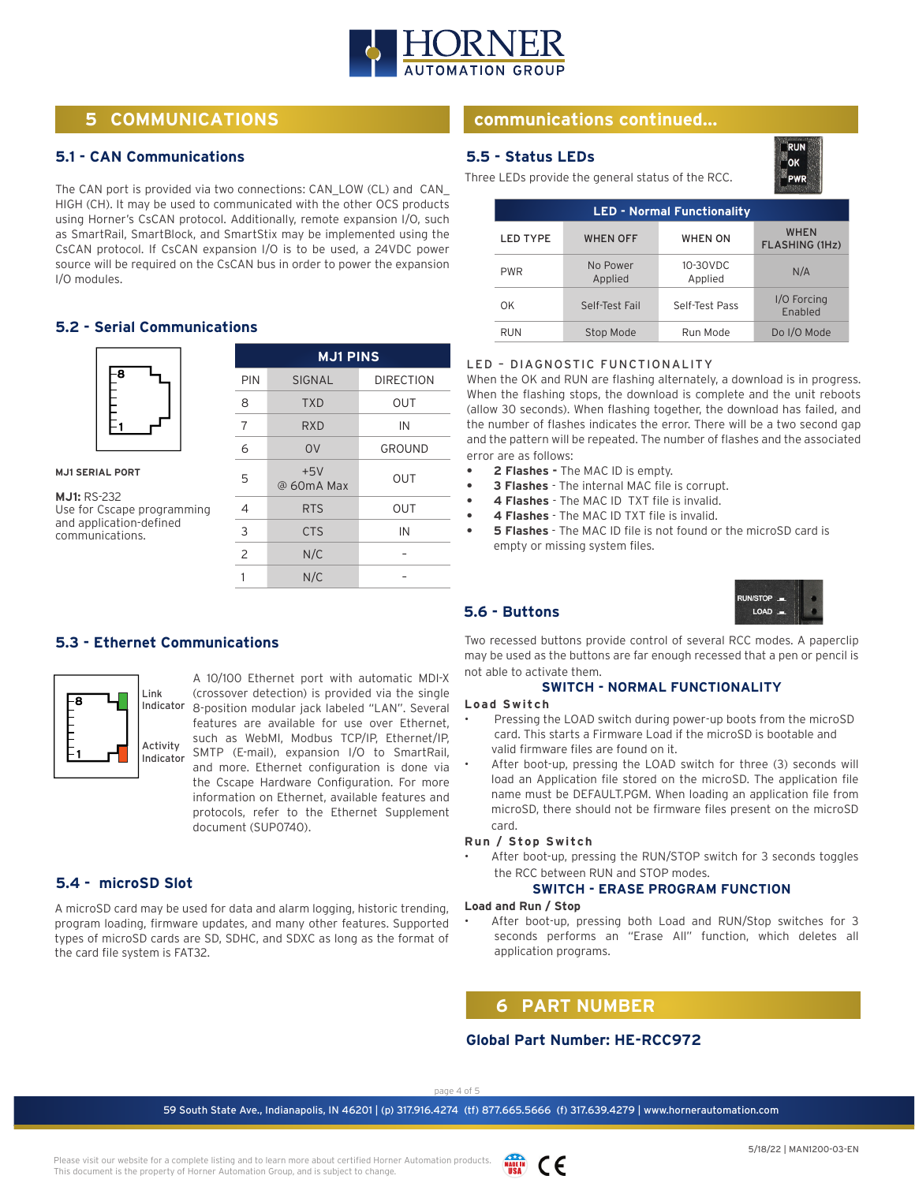

# **5 COMMUNICATIONS**

#### **5.1 - CAN Communications**

The CAN port is provided via two connections: CAN\_LOW (CL) and CAN\_ HIGH (CH). It may be used to communicated with the other OCS products using Horner's CsCAN protocol. Additionally, remote expansion I/O, such as SmartRail, SmartBlock, and SmartStix may be implemented using the CsCAN protocol. If CsCAN expansion I/O is to be used, a 24VDC power source will be required on the CsCAN bus in order to power the expansion I/O modules.

#### **5.2 - Serial Communications**



**MJ1 SERIAL PORT**

**MJ1:** RS-232 Use for Cscape programming and application-defined communications.

| <b>MJ1 PINS</b> |                     |                  |  |  |
|-----------------|---------------------|------------------|--|--|
| PIN             | SIGNAL              | <b>DIRECTION</b> |  |  |
| 8               | <b>TXD</b>          | <b>OUT</b>       |  |  |
| 7               | RXD                 | IN               |  |  |
| 6               | O <sub>V</sub>      | GROUND           |  |  |
| 5               | $+5V$<br>@ 60mA Max | <b>OUT</b>       |  |  |
| 4               | <b>RTS</b>          | <b>OUT</b>       |  |  |
| 3               | <b>CTS</b>          | IN               |  |  |
| $\overline{c}$  | N/C                 |                  |  |  |
|                 | N/C                 |                  |  |  |

#### **5.3 - Ethernet Communications**



A 10/100 Ethernet port with automatic MDI-X (crossover detection) is provided via the single Indicator 8-position modular jack labeled "LAN". Several features are available for use over Ethernet, such as WebMI, Modbus TCP/IP, Ethernet/IP, SMTP (E-mail), expansion I/O to SmartRail, and more. Ethernet configuration is done via the Cscape Hardware Configuration. For more information on Ethernet, available features and protocols, refer to the Ethernet Supplement document (SUP0740).

### **5.4 - microSD Slot**

A microSD card may be used for data and alarm logging, historic trending, program loading, firmware updates, and many other features. Supported types of microSD cards are SD, SDHC, and SDXC as long as the format of the card file system is FAT32.

# **communications continued...**

#### **5.5 - Status LEDs**

Three LEDs provide the general status of the RCC.

| <b>LED - Normal Functionality</b> |                     |                     |                                      |  |
|-----------------------------------|---------------------|---------------------|--------------------------------------|--|
| <b>LED TYPE</b>                   | <b>WHEN OFF</b>     | <b>WHEN ON</b>      | <b>WHEN</b><br><b>FLASHING (1Hz)</b> |  |
| <b>PWR</b>                        | No Power<br>Applied | 10-30VDC<br>Applied | N/A                                  |  |
| OK                                | Self-Test Fail      | Self-Test Pass      | I/O Forcing<br>Enabled               |  |
| <b>RUN</b>                        | Stop Mode           | Run Mode            | Do I/O Mode                          |  |

#### LED – DIAGNOSTIC FUNCTIONALITY

When the OK and RUN are flashing alternately, a download is in progress. When the flashing stops, the download is complete and the unit reboots (allow 30 seconds). When flashing together, the download has failed, and the number of flashes indicates the error. There will be a two second gap and the pattern will be repeated. The number of flashes and the associated error are as follows:

- **• 2 Flashes -** The MAC ID is empty.
- **• 3 Flashes**  The internal MAC file is corrupt.
- **• 4 Flashes**  The MAC ID TXT file is invalid.
- **• 4 Flashes** The MAC ID TXT file is invalid.
- **• 5 Flashes** The MAC ID file is not found or the microSD card is empty or missing system files.



RUN ®ok PWR

## **5.6 - Buttons**

Two recessed buttons provide control of several RCC modes. A paperclip may be used as the buttons are far enough recessed that a pen or pencil is not able to activate them.

#### **SWITCH - NORMAL FUNCTIONALITY**

#### **Load Switch**

- Pressing the LOAD switch during power-up boots from the microSD card. This starts a Firmware Load if the microSD is bootable and valid firmware files are found on it.
- After boot-up, pressing the LOAD switch for three (3) seconds will load an Application file stored on the microSD. The application file name must be DEFAULT.PGM. When loading an application file from microSD, there should not be firmware files present on the microSD card.

#### **Run / Stop Switch**

After boot-up, pressing the RUN/STOP switch for 3 seconds toggles the RCC between RUN and STOP modes.

#### **SWITCH - ERASE PROGRAM FUNCTION**

#### **Load and Run / Stop**

After boot-up, pressing both Load and RUN/Stop switches for 3 seconds performs an "Erase All" function, which deletes all application programs.

## **6 PART NUMBER**

#### **Global Part Number: HE-RCC972**

page 4 of 5

59 South State Ave., Indianapolis, IN 46201 | (p) 317.916.4274 (tf) 877.665.5666 (f) 317.639.4279 | www.hornerautomation.com